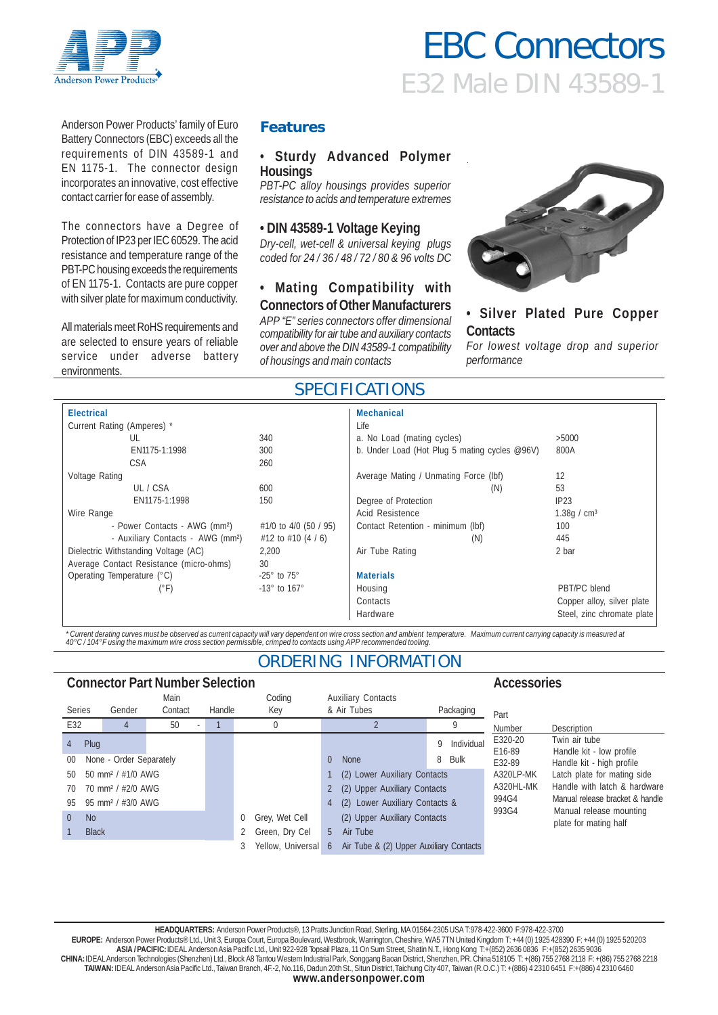

# E32 Male DIN 43589-1 EBC Connectors

Anderson Power Products' family of Euro Battery Connectors (EBC) exceeds all the requirements of DIN 43589-1 and EN 1175-1. The connector design incorporates an innovative, cost effective contact carrier for ease of assembly.

The connectors have a Degree of Protection of IP23 per IEC 60529. The acid resistance and temperature range of the PBT-PC housing exceeds the requirements of EN 1175-1. Contacts are pure copper with silver plate for maximum conductivity.

All materials meet RoHS requirements and are selected to ensure years of reliable service under adverse battery environments.

### **Features**

#### • **Sturdy Advanced Polymer Housings**

*PBT-PC alloy housings provides superior resistance to acids and temperature extremes*

#### **• DIN 43589-1 Voltage Keying**

*Dry-cell, wet-cell & universal keying plugs coded for 24 / 36 / 48 / 72 / 80 & 96 volts DC*

#### **• Mating Compatibility with Connectors of Other Manufacturers**

*APP "E" series connectors offer dimensional compatibility for air tube and auxiliary contacts over and above the DIN 43589-1 compatibility of housings and main contacts*



## **• Silver Plated Pure Copper Contacts**

*For lowest voltage drop and superior performance*

# SPECIFICATIONS

| <b>Electrical</b>                             |                            | <b>Mechanical</b>                             |                            |
|-----------------------------------------------|----------------------------|-----------------------------------------------|----------------------------|
| Current Rating (Amperes) *                    |                            | Life                                          |                            |
| UL                                            | 340                        | a. No Load (mating cycles)                    | >5000                      |
| EN1175-1:1998                                 | 300                        | b. Under Load (Hot Plug 5 mating cycles @96V) | 800A                       |
| <b>CSA</b>                                    | 260                        |                                               |                            |
| Voltage Rating                                |                            | Average Mating / Unmating Force (lbf)         | 12                         |
| UL / CSA                                      | 600                        | (N)                                           | 53                         |
| EN1175-1:1998                                 | 150                        | Degree of Protection                          | IP23                       |
| Wire Range                                    |                            | Acid Resistence                               | 1.38g / $cm3$              |
| - Power Contacts - AWG (mm <sup>2</sup> )     | #1/0 to 4/0 (50 / 95)      | Contact Retention - minimum (lbf)             | 100                        |
| - Auxiliary Contacts - AWG (mm <sup>2</sup> ) | #12 to #10 $(4/6)$         | (N)                                           | 445                        |
| Dielectric Withstanding Voltage (AC)          | 2.200                      | Air Tube Rating                               | 2 bar                      |
| Average Contact Resistance (micro-ohms)       | 30                         |                                               |                            |
| Operating Temperature (°C)                    | $-25^\circ$ to 75 $^\circ$ | <b>Materials</b>                              |                            |
| $(^{\circ}F)$                                 | $-13^\circ$ to $167^\circ$ | Housing                                       | PBT/PC blend               |
|                                               |                            | Contacts                                      | Copper alloy, silver plate |
|                                               |                            | Hardware                                      | Steel, zinc chromate plate |

\*Current derating curves must be observed as current capacity will vary dependent on wire cross section and ambient temperature. Maximum current carrying capacity is measured at<br>40°C / 104°F using the maximum wire cross se

# ORDERING INFORMATION

| <b>Connector Part Number Selection</b><br>Accessories |                                  |        |                     |        |                                         |                |                                |                           |                |                                                                                                                                                    |                           |                                           |
|-------------------------------------------------------|----------------------------------|--------|---------------------|--------|-----------------------------------------|----------------|--------------------------------|---------------------------|----------------|----------------------------------------------------------------------------------------------------------------------------------------------------|---------------------------|-------------------------------------------|
|                                                       |                                  |        | Main                |        |                                         | Coding         |                                | <b>Auxiliary Contacts</b> |                |                                                                                                                                                    |                           |                                           |
| <b>Series</b>                                         |                                  | Gender | Contact             | Handle |                                         | Key            |                                | & Air Tubes               |                | Packaging                                                                                                                                          | Part                      |                                           |
| E32                                                   |                                  |        | 50                  |        |                                         | 0              |                                |                           |                | Q                                                                                                                                                  | Number                    | Description                               |
| 4                                                     | Plug                             |        |                     |        |                                         |                |                                |                           | Q              | Individual                                                                                                                                         | E320-20<br>E16-89         | Twin air tube<br>Handle kit - low profile |
| $00\,$                                                | None - Order Separately          |        |                     |        |                                         | $\overline{0}$ | <b>None</b>                    | 8                         | Bulk           | E32-89                                                                                                                                             | Handle kit - high profile |                                           |
| 50                                                    | 50 mm <sup>2</sup> / $\#1/0$ AWG |        |                     |        |                                         |                | (2) Lower Auxiliary Contacts   |                           | A320LP-MK      | Latch plate for mating side<br>Handle with latch & hardware<br>Manual release bracket & handle<br>Manual release mounting<br>plate for mating half |                           |                                           |
| 70                                                    | 70 mm <sup>2</sup> / #2/0 AWG    |        |                     |        |                                         | $\overline{2}$ | (2) Upper Auxiliary Contacts   |                           | A320HL-MK      |                                                                                                                                                    |                           |                                           |
| 95                                                    | 95 mm <sup>2</sup> / #3/0 AWG    |        |                     |        |                                         | 4              | (2) Lower Auxiliary Contacts & |                           | 994G4<br>993G4 |                                                                                                                                                    |                           |                                           |
| $\Omega$                                              | N <sub>o</sub>                   |        |                     | 0      | Grey, Wet Cell                          |                | (2) Upper Auxiliary Contacts   |                           |                |                                                                                                                                                    |                           |                                           |
|                                                       | <b>Black</b>                     |        |                     |        |                                         | Green, Dry Cel | .5                             | Air Tube                  |                |                                                                                                                                                    |                           |                                           |
|                                                       |                                  |        | Yellow, Universal 6 |        | Air Tube & (2) Upper Auxiliary Contacts |                |                                |                           |                |                                                                                                                                                    |                           |                                           |

**HEADQUARTERS:** Anderson Power Products®, 13 Pratts Junction Road, Sterling, MA 01564-2305 USA T:978-422-3600 F:978-422-3700 **EUROPE:** Anderson Power Products® Ltd., Unit 3, Europa Court, Europa Boulevard, Westbrook, Warrington, Cheshire, WA5 7TN United Kingdom T: +44 (0) 1925 428390 F: +44 (0) 1925 520203 **ASIA / PACIFIC:** IDEAL Anderson Asia Pacific Ltd., Unit 922-928 Topsail Plaza, 11 On Sum Street, Shatin N.T., Hong Kong T:+(852) 2636 0836 F:+(852) 2635 9036 **CHINA:** IDEAL Anderson Technologies (Shenzhen) Ltd., Block A8 Tantou Western Industrial Park, Songgang Baoan District, Shenzhen, PR. China 518105 T: +(86) 755 2768 2118 F: +(86) 755 2768 2218 **TAIWAN:** IDEAL Anderson Asia Pacific Ltd., Taiwan Branch, 4F.-2, No.116, Dadun 20th St., Situn District, Taichung City 407, Taiwan (R.O.C.) T: +(886) 4 2310 6451 F:+(886) 4 2310 6460 **www.andersonpower.com**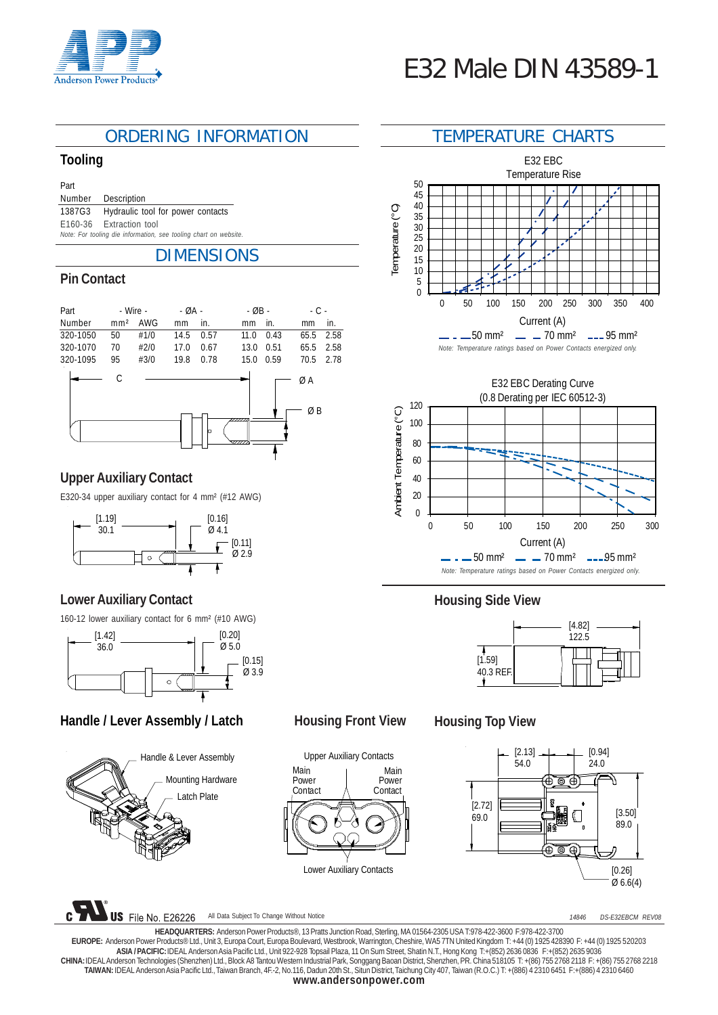

# ORDERING INFORMATION TEMPERATURE CHARTS

#### **Tooling**

Part

Number Description 1387G3 Hydraulic tool for power contacts E160-36 Extraction tool

*Note: For tooling die information, see tooling chart on website.*

# DIMENSIONS

# **Pin Contact**

| Part     | - Wire -        |      | - ØA - |      | $-$ ØB - | $-C -$ |          |      |
|----------|-----------------|------|--------|------|----------|--------|----------|------|
| Number   | mm <sup>2</sup> | AWG  | mm     | in.  | mm       | in.    | mm       | in.  |
| 320-1050 | 50              | #1/0 | 14.5   | 0.57 | 11.0     | 0.43   | 65.5     | 2.58 |
| 320-1070 | 70              | #2/0 | 17.0   | 0.67 | 13.0     | 0.51   | 65.5     | 2.58 |
| 320-1095 | 95              | #3/0 | 19.8   | 0.78 | 15.0     | 0.59   | 70.5     | 2.78 |
|          | С               |      |        | n    | 777      |        | ØΑ<br>ØΒ |      |

# **Upper Auxiliary Contact**

E320-34 upper auxiliary contact for 4 mm² (#12 AWG)



# **Lower Auxiliary Contact**

160-12 lower auxiliary contact for 6 mm² (#10 AWG)



# Handle / Lever Assembly / Latch Housing Front View



File No. E26226

**US** 



All Data Subject To Change Without Notice

# **Housing Top View**



*14846 DS-E32EBCM REV08*

**HEADQUARTERS:** Anderson Power Products®, 13 Pratts Junction Road, Sterling, MA 01564-2305 USA T:978-422-3600 F:978-422-3700 **EUROPE:** Anderson Power Products® Ltd., Unit 3, Europa Court, Europa Boulevard, Westbrook, Warrington, Cheshire, WA5 7TN United Kingdom T: +44 (0) 1925 428390 F: +44 (0) 1925 520203 **ASIA / PACIFIC:** IDEAL Anderson Asia Pacific Ltd., Unit 922-928 Topsail Plaza, 11 On Sum Street, Shatin N.T., Hong Kong T:+(852) 2636 0836 F:+(852) 2635 9036 **CHINA:** IDEAL Anderson Technologies (Shenzhen) Ltd., Block A8 Tantou Western Industrial Park, Songgang Baoan District, Shenzhen, PR. China 518105 T: +(86) 755 2768 2118 F: +(86) 755 2768 2218 **TAIWAN:** IDEAL Anderson Asia Pacific Ltd., Taiwan Branch, 4F.-2, No.116, Dadun 20th St., Situn District, Taichung City 407, Taiwan (R.O.C.) T: +(886) 4 2310 6451 F:+(886) 4 2310 6460 **www.andersonpower.com**







# **Housing Side View**